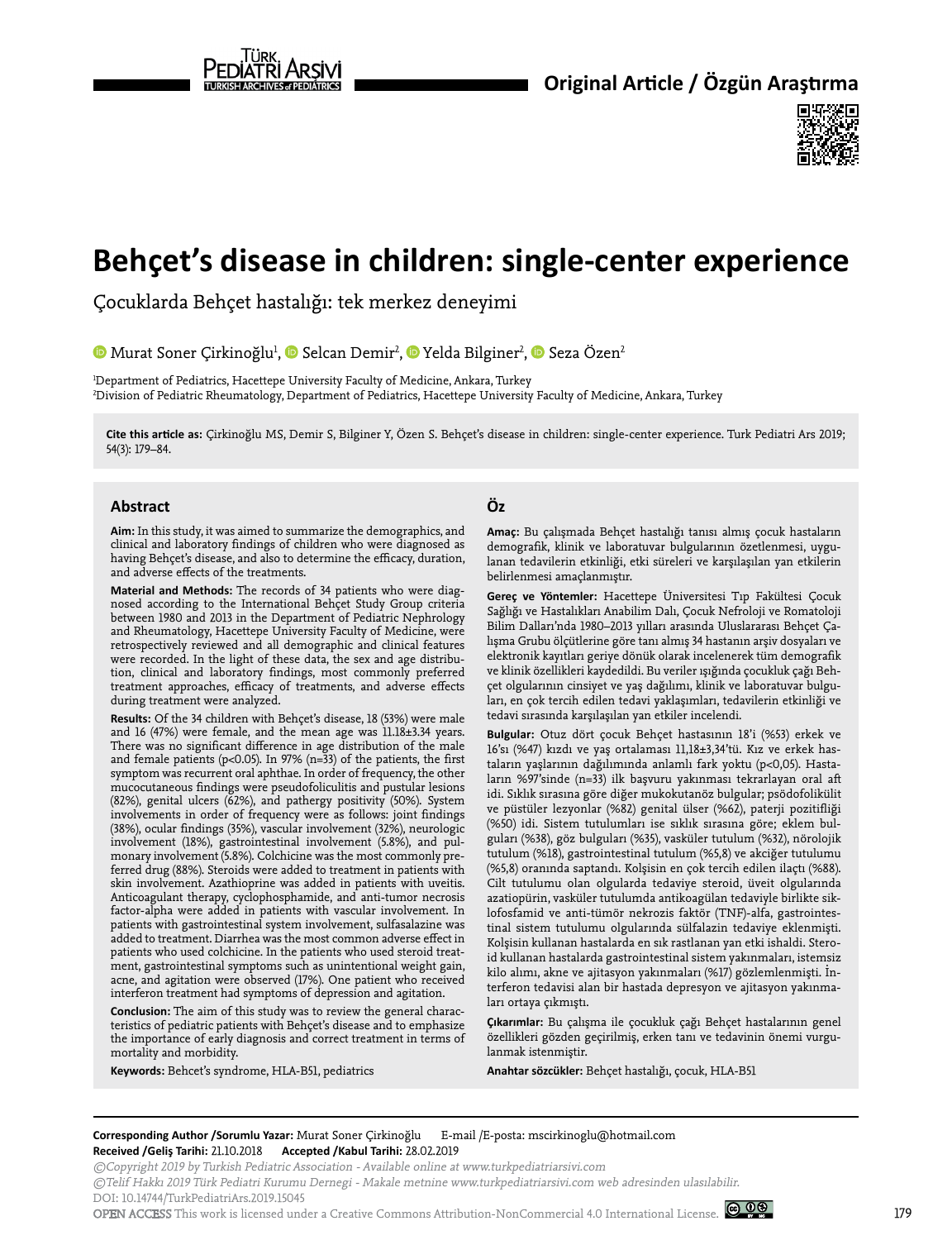



# **Behçet's disease in children: single-center experience**

Çocuklarda Behçet hastalığı: tek merkez deneyimi

MuratSoner Çirkinoğlu<sup>1</sup>[,](https://orcid.org/0000-0002-4320-8632) © Selcan Demir<sup>2</sup>, © Yelda Bilginer<sup>2</sup>, © Seza Özen<sup>2</sup>

1 Department of Pediatrics, Hacettepe University Faculty of Medicine, Ankara, Turkey 2 Division of Pediatric Rheumatology, Department of Pediatrics, Hacettepe University Faculty of Medicine, Ankara, Turkey

**Cite this article as:** Çirkinoğlu MS, Demir S, Bilginer Y, Özen S. Behçet's disease in children: single-center experience. Turk Pediatri Ars 2019; 54(3): 179–84.

#### **Abstract**

**Aim:** In this study, it was aimed to summarize the demographics, and clinical and laboratory findings of children who were diagnosed as having Behçet's disease, and also to determine the efficacy, duration, and adverse effects of the treatments.

**Material and Methods:** The records of 34 patients who were diagnosed according to the International Behçet Study Group criteria between 1980 and 2013 in the Department of Pediatric Nephrology and Rheumatology, Hacettepe University Faculty of Medicine, were retrospectively reviewed and all demographic and clinical features were recorded. In the light of these data, the sex and age distribution, clinical and laboratory findings, most commonly preferred treatment approaches, efficacy of treatments, and adverse effects during treatment were analyzed.

**Results:** Of the 34 children with Behçet's disease, 18 (53%) were male and 16 (47%) were female, and the mean age was  $11.18±3.34$  years. There was no significant difference in age distribution of the male and female patients (p<0.05). In 97% (n= $33$ ) of the patients, the first symptom was recurrent oral aphthae. In order of frequency, the other mucocutaneous findings were pseudofoliculitis and pustular lesions (82%), genital ulcers (62%), and pathergy positivity (50%). System involvements in order of frequency were as follows: joint findings (38%), ocular findings (35%), vascular involvement (32%), neurologic involvement (18%), gastrointestinal involvement (5.8%), and pulmonary involvement (5.8%). Colchicine was the most commonly preferred drug (88%). Steroids were added to treatment in patients with skin involvement. Azathioprine was added in patients with uveitis. Anticoagulant therapy, cyclophosphamide, and anti-tumor necrosis factor-alpha were added in patients with vascular involvement. In patients with gastrointestinal system involvement, sulfasalazine was added to treatment. Diarrhea was the most common adverse effect in patients who used colchicine. In the patients who used steroid treatment, gastrointestinal symptoms such as unintentional weight gain, acne, and agitation were observed (17%). One patient who received interferon treatment had symptoms of depression and agitation.

**Conclusion:** The aim of this study was to review the general characteristics of pediatric patients with Behçet's disease and to emphasize the importance of early diagnosis and correct treatment in terms of mortality and morbidity.

**Keywords:** Behcet's syndrome, HLA-B51, pediatrics

## **Öz**

**Amaç:** Bu çalışmada Behçet hastalığı tanısı almış çocuk hastaların demografik, klinik ve laboratuvar bulgularının özetlenmesi, uygulanan tedavilerin etkinliği, etki süreleri ve karşılaşılan yan etkilerin belirlenmesi amaçlanmıştır.

**Gereç ve Yöntemler:** Hacettepe Üniversitesi Tıp Fakültesi Çocuk Sağlığı ve Hastalıkları Anabilim Dalı, Çocuk Nefroloji ve Romatoloji Bilim Dalları'nda 1980–2013 yılları arasında Uluslararası Behçet Çalışma Grubu ölçütlerine göre tanı almış 34 hastanın arşiv dosyaları ve elektronik kayıtları geriye dönük olarak incelenerek tüm demografik ve klinik özellikleri kaydedildi. Bu veriler ışığında çocukluk çağı Behçet olgularının cinsiyet ve yaş dağılımı, klinik ve laboratuvar bulguları, en çok tercih edilen tedavi yaklaşımları, tedavilerin etkinliği ve tedavi sırasında karşılaşılan yan etkiler incelendi.

**Bulgular:** Otuz dört çocuk Behçet hastasının 18'i (%53) erkek ve 16'sı (%47) kızdı ve yaş ortalaması 11,18±3,34'tü. Kız ve erkek hastaların yaşlarının dağılımında anlamlı fark yoktu (p<0,05). Hastaların %97'sinde (n=33) ilk başvuru yakınması tekrarlayan oral aft idi. Sıklık sırasına göre diğer mukokutanöz bulgular; psödofolikülit ve püstüler lezyonlar (%82) genital ülser (%62), paterji pozitifliği (%50) idi. Sistem tutulumları ise sıklık sırasına göre; eklem bulguları (%38), göz bulguları (%35), vasküler tutulum (%32), nörolojik tutulum (%18), gastrointestinal tutulum (%5,8) ve akciğer tutulumu (%5,8) oranında saptandı. Kolşisin en çok tercih edilen ilaçtı (%88). Cilt tutulumu olan olgularda tedaviye steroid, üveit olgularında azatiopürin, vasküler tutulumda antikoagülan tedaviyle birlikte siklofosfamid ve anti-tümör nekrozis faktör (TNF)-alfa, gastrointestinal sistem tutulumu olgularında sülfalazin tedaviye eklenmişti. Kolşisin kullanan hastalarda en sık rastlanan yan etki ishaldi. Steroid kullanan hastalarda gastrointestinal sistem yakınmaları, istemsiz kilo alımı, akne ve ajitasyon yakınmaları (%17) gözlemlenmişti. İnterferon tedavisi alan bir hastada depresyon ve ajitasyon yakınmaları ortaya çıkmıştı.

**Çıkarımlar:** Bu çalışma ile çocukluk çağı Behçet hastalarının genel özellikleri gözden geçirilmiş, erken tanı ve tedavinin önemi vurgulanmak istenmiştir.

**Anahtar sözcükler:** Behçet hastalığı, çocuk, HLA-B51

**Corresponding Author /Sorumlu Yazar:** Murat Soner Çirkinoğlu E-mail /E-posta: mscirkinoglu@hotmail.com **Received /Geliş Tarihi:** 21.10.2018 **Accepted /Kabul Tarihi:** 28.02.2019

©Copyright 2019 by Turkish Pediatric Association - Available online at www.turkpediatriarsivi.com

©Telif Hakkı 2019 Türk Pediatri Kurumu Dernegi - Makale metnine www.turkpediatriarsivi.com web adresinden ulasılabilir.

DOI: 10.14744/TurkPediatriArs.2019.15045

OPEN ACCESS This work is licensed under a Creative Commons Attribution-NonCommercial 4.0 International License.  $\bigcirc$  0.9

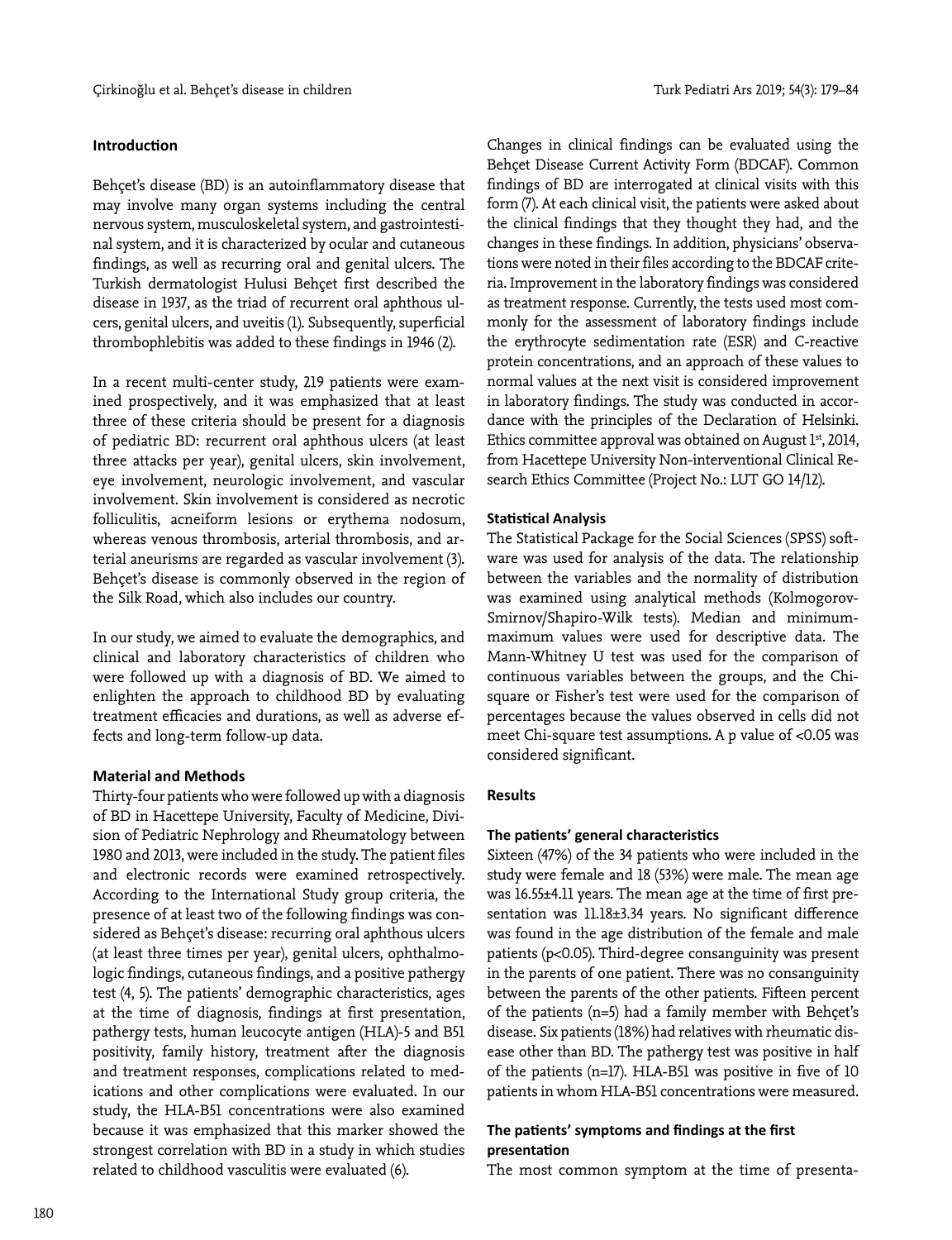## **Introduction**

Behçet's disease (BD) is an autoinflammatory disease that may involve many organ systems including the central nervous system, musculoskeletal system, and gastrointestinal system, and it is characterized by ocular and cutaneous findings, as well as recurring oral and genital ulcers. The Turkish dermatologist Hulusi Behçet first described the disease in 1937, as the triad of recurrent oral aphthous ulcers, genital ulcers, and uveitis (1). Subsequently, superficial thrombophlebitis was added to these findings in 1946 (2).

In a recent multi-center study, 219 patients were examined prospectively, and it was emphasized that at least three of these criteria should be present for a diagnosis of pediatric BD: recurrent oral aphthous ulcers (at least three attacks per year), genital ulcers, skin involvement, eye involvement, neurologic involvement, and vascular involvement. Skin involvement is considered as necrotic folliculitis, acneiform lesions or erythema nodosum, whereas venous thrombosis, arterial thrombosis, and arterial aneurisms are regarded as vascular involvement (3). Behçet's disease is commonly observed in the region of the Silk Road, which also includes our country.

In our study, we aimed to evaluate the demographics, and clinical and laboratory characteristics of children who were followed up with a diagnosis of BD. We aimed to enlighten the approach to childhood BD by evaluating treatment efficacies and durations, as well as adverse effects and long-term follow-up data.

#### **Material and Methods**

Thirty-four patients who were followed up with a diagnosis of BD in Hacettepe University, Faculty of Medicine, Division of Pediatric Nephrology and Rheumatology between 1980 and 2013, were included in the study. The patient files and electronic records were examined retrospectively. According to the International Study group criteria, the presence of at least two of the following findings was considered as Behçet's disease: recurring oral aphthous ulcers (at least three times per year), genital ulcers, ophthalmologic findings, cutaneous findings, and a positive pathergy test (4, 5). The patients' demographic characteristics, ages at the time of diagnosis, findings at first presentation, pathergy tests, human leucocyte antigen (HLA)-5 and B51 positivity, family history, treatment after the diagnosis and treatment responses, complications related to medications and other complications were evaluated. In our study, the HLA-B51 concentrations were also examined because it was emphasized that this marker showed the strongest correlation with BD in a study in which studies related to childhood vasculitis were evaluated (6).

Changes in clinical findings can be evaluated using the Behçet Disease Current Activity Form (BDCAF). Common findings of BD are interrogated at clinical visits with this form (7). At each clinical visit, the patients were asked about the clinical findings that they thought they had, and the changes in these findings. In addition, physicians' observations were noted in their files according to the BDCAF criteria. Improvement in the laboratory findings was considered as treatment response. Currently, the tests used most commonly for the assessment of laboratory findings include the erythrocyte sedimentation rate (ESR) and C-reactive protein concentrations, and an approach of these values to normal values at the next visit is considered improvement in laboratory findings. The study was conducted in accordance with the principles of the Declaration of Helsinki. Ethics committee approval was obtained on August 1st, 2014, from Hacettepe University Non-interventional Clinical Research Ethics Committee (Project No.: LUT GO 14/12).

## **Statistical Analysis**

The Statistical Package for the Social Sciences (SPSS) software was used for analysis of the data. The relationship between the variables and the normality of distribution was examined using analytical methods (Kolmogorov-Smirnov/Shapiro-Wilk tests). Median and minimummaximum values were used for descriptive data. The Mann-Whitney U test was used for the comparison of continuous variables between the groups, and the Chisquare or Fisher's test were used for the comparison of percentages because the values observed in cells did not meet Chi-square test assumptions. A p value of <0.05 was considered significant.

## **Results**

## **The patients' general characteristics**

Sixteen (47%) of the 34 patients who were included in the study were female and 18 (53%) were male. The mean age was 16.55±4.11 years. The mean age at the time of first presentation was 11.18±3.34 years. No significant difference was found in the age distribution of the female and male patients (p<0.05). Third-degree consanguinity was present in the parents of one patient. There was no consanguinity between the parents of the other patients. Fifteen percent of the patients (n=5) had a family member with Behçet's disease. Six patients (18%) had relatives with rheumatic disease other than BD. The pathergy test was positive in half of the patients (n=17). HLA-B51 was positive in five of 10 patients in whom HLA-B51 concentrations were measured.

# **The patients' symptoms and findings at the first presentation**

The most common symptom at the time of presenta-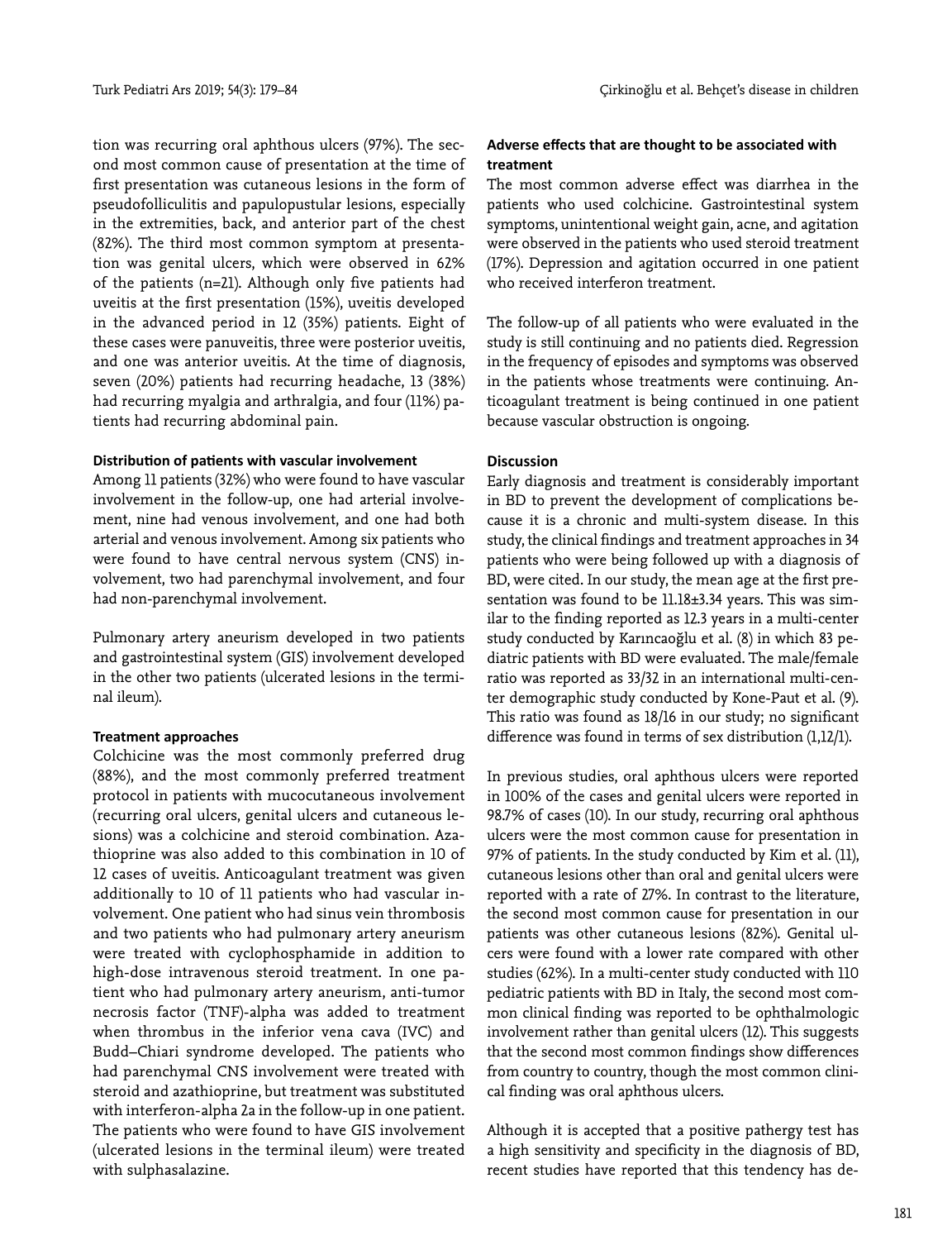tion was recurring oral aphthous ulcers (97%). The second most common cause of presentation at the time of first presentation was cutaneous lesions in the form of pseudofolliculitis and papulopustular lesions, especially in the extremities, back, and anterior part of the chest (82%). The third most common symptom at presentation was genital ulcers, which were observed in 62% of the patients (n=21). Although only five patients had uveitis at the first presentation (15%), uveitis developed in the advanced period in 12 (35%) patients. Eight of these cases were panuveitis, three were posterior uveitis, and one was anterior uveitis. At the time of diagnosis, seven (20%) patients had recurring headache, 13 (38%) had recurring myalgia and arthralgia, and four (11%) patients had recurring abdominal pain.

## **Distribution of patients with vascular involvement**

Among 11 patients (32%) who were found to have vascular involvement in the follow-up, one had arterial involvement, nine had venous involvement, and one had both arterial and venous involvement. Among six patients who were found to have central nervous system (CNS) involvement, two had parenchymal involvement, and four had non-parenchymal involvement.

Pulmonary artery aneurism developed in two patients and gastrointestinal system (GIS) involvement developed in the other two patients (ulcerated lesions in the terminal ileum).

## **Treatment approaches**

Colchicine was the most commonly preferred drug (88%), and the most commonly preferred treatment protocol in patients with mucocutaneous involvement (recurring oral ulcers, genital ulcers and cutaneous lesions) was a colchicine and steroid combination. Azathioprine was also added to this combination in 10 of 12 cases of uveitis. Anticoagulant treatment was given additionally to 10 of 11 patients who had vascular involvement. One patient who had sinus vein thrombosis and two patients who had pulmonary artery aneurism were treated with cyclophosphamide in addition to high-dose intravenous steroid treatment. In one patient who had pulmonary artery aneurism, anti-tumor necrosis factor (TNF)-alpha was added to treatment when thrombus in the inferior vena cava (IVC) and Budd–Chiari syndrome developed. The patients who had parenchymal CNS involvement were treated with steroid and azathioprine, but treatment was substituted with interferon-alpha 2a in the follow-up in one patient. The patients who were found to have GIS involvement (ulcerated lesions in the terminal ileum) were treated with sulphasalazine.

## **Adverse effects that are thought to be associated with treatment**

The most common adverse effect was diarrhea in the patients who used colchicine. Gastrointestinal system symptoms, unintentional weight gain, acne, and agitation were observed in the patients who used steroid treatment (17%). Depression and agitation occurred in one patient who received interferon treatment.

The follow-up of all patients who were evaluated in the study is still continuing and no patients died. Regression in the frequency of episodes and symptoms was observed in the patients whose treatments were continuing. Anticoagulant treatment is being continued in one patient because vascular obstruction is ongoing.

#### **Discussion**

Early diagnosis and treatment is considerably important in BD to prevent the development of complications because it is a chronic and multi-system disease. In this study, the clinical findings and treatment approaches in 34 patients who were being followed up with a diagnosis of BD, were cited. In our study, the mean age at the first presentation was found to be 11.18±3.34 years. This was similar to the finding reported as 12.3 years in a multi-center study conducted by Karıncaoğlu et al. (8) in which 83 pediatric patients with BD were evaluated. The male/female ratio was reported as 33/32 in an international multi-center demographic study conducted by Kone-Paut et al. (9). This ratio was found as 18/16 in our study; no significant difference was found in terms of sex distribution (1,12/1).

In previous studies, oral aphthous ulcers were reported in 100% of the cases and genital ulcers were reported in 98.7% of cases (10). In our study, recurring oral aphthous ulcers were the most common cause for presentation in 97% of patients. In the study conducted by Kim et al. (11), cutaneous lesions other than oral and genital ulcers were reported with a rate of 27%. In contrast to the literature, the second most common cause for presentation in our patients was other cutaneous lesions (82%). Genital ulcers were found with a lower rate compared with other studies (62%). In a multi-center study conducted with 110 pediatric patients with BD in Italy, the second most common clinical finding was reported to be ophthalmologic involvement rather than genital ulcers (12). This suggests that the second most common findings show differences from country to country, though the most common clinical finding was oral aphthous ulcers.

Although it is accepted that a positive pathergy test has a high sensitivity and specificity in the diagnosis of BD, recent studies have reported that this tendency has de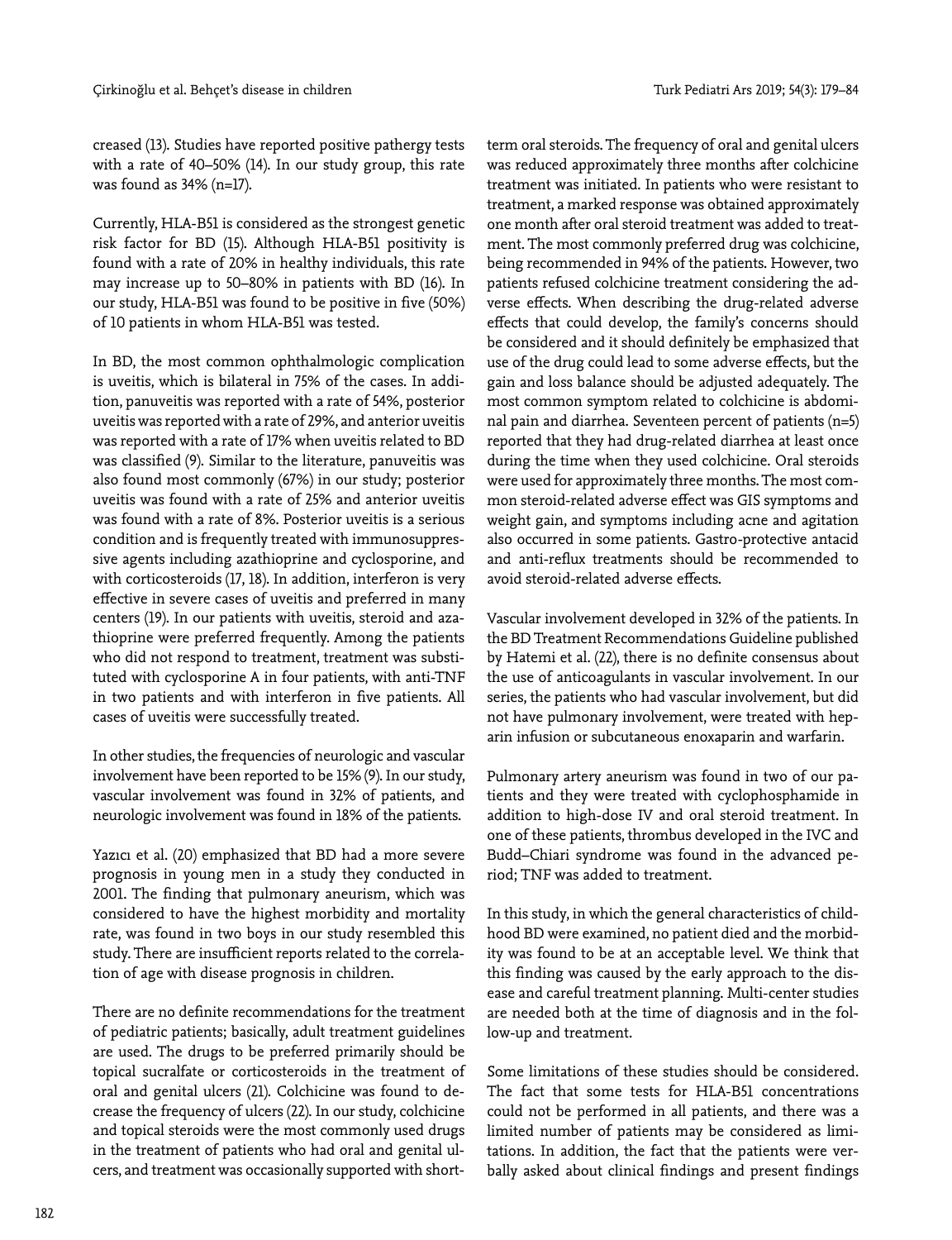creased (13). Studies have reported positive pathergy tests with a rate of 40–50% (14). In our study group, this rate was found as 34% (n=17).

Currently, HLA-B51 is considered as the strongest genetic risk factor for BD (15). Although HLA-B51 positivity is found with a rate of 20% in healthy individuals, this rate may increase up to 50–80% in patients with BD (16). In our study, HLA-B51 was found to be positive in five (50%) of 10 patients in whom HLA-B51 was tested.

In BD, the most common ophthalmologic complication is uveitis, which is bilateral in 75% of the cases. In addition, panuveitis was reported with a rate of 54%, posterior uveitis was reported with a rate of 29%, and anterior uveitis was reported with a rate of 17% when uveitis related to BD was classified (9). Similar to the literature, panuveitis was also found most commonly (67%) in our study; posterior uveitis was found with a rate of 25% and anterior uveitis was found with a rate of 8%. Posterior uveitis is a serious condition and is frequently treated with immunosuppressive agents including azathioprine and cyclosporine, and with corticosteroids (17, 18). In addition, interferon is very effective in severe cases of uveitis and preferred in many centers (19). In our patients with uveitis, steroid and azathioprine were preferred frequently. Among the patients who did not respond to treatment, treatment was substituted with cyclosporine A in four patients, with anti-TNF in two patients and with interferon in five patients. All cases of uveitis were successfully treated.

In other studies, the frequencies of neurologic and vascular involvement have been reported to be 15% (9). In our study, vascular involvement was found in 32% of patients, and neurologic involvement was found in 18% of the patients.

Yazıcı et al. (20) emphasized that BD had a more severe prognosis in young men in a study they conducted in 2001. The finding that pulmonary aneurism, which was considered to have the highest morbidity and mortality rate, was found in two boys in our study resembled this study. There are insufficient reports related to the correlation of age with disease prognosis in children.

There are no definite recommendations for the treatment of pediatric patients; basically, adult treatment guidelines are used. The drugs to be preferred primarily should be topical sucralfate or corticosteroids in the treatment of oral and genital ulcers (21). Colchicine was found to decrease the frequency of ulcers (22). In our study, colchicine and topical steroids were the most commonly used drugs in the treatment of patients who had oral and genital ulcers, and treatment was occasionally supported with shortterm oral steroids. The frequency of oral and genital ulcers was reduced approximately three months after colchicine treatment was initiated. In patients who were resistant to treatment, a marked response was obtained approximately one month after oral steroid treatment was added to treatment. The most commonly preferred drug was colchicine, being recommended in 94% of the patients. However, two patients refused colchicine treatment considering the adverse effects. When describing the drug-related adverse effects that could develop, the family's concerns should be considered and it should definitely be emphasized that use of the drug could lead to some adverse effects, but the gain and loss balance should be adjusted adequately. The most common symptom related to colchicine is abdominal pain and diarrhea. Seventeen percent of patients (n=5) reported that they had drug-related diarrhea at least once during the time when they used colchicine. Oral steroids were used for approximately three months. The most common steroid-related adverse effect was GIS symptoms and weight gain, and symptoms including acne and agitation also occurred in some patients. Gastro-protective antacid and anti-reflux treatments should be recommended to avoid steroid-related adverse effects.

Vascular involvement developed in 32% of the patients. In the BD Treatment Recommendations Guideline published by Hatemi et al. (22), there is no definite consensus about the use of anticoagulants in vascular involvement. In our series, the patients who had vascular involvement, but did not have pulmonary involvement, were treated with heparin infusion or subcutaneous enoxaparin and warfarin.

Pulmonary artery aneurism was found in two of our patients and they were treated with cyclophosphamide in addition to high-dose IV and oral steroid treatment. In one of these patients, thrombus developed in the IVC and Budd–Chiari syndrome was found in the advanced period; TNF was added to treatment.

In this study, in which the general characteristics of childhood BD were examined, no patient died and the morbidity was found to be at an acceptable level. We think that this finding was caused by the early approach to the disease and careful treatment planning. Multi-center studies are needed both at the time of diagnosis and in the follow-up and treatment.

Some limitations of these studies should be considered. The fact that some tests for HLA-B51 concentrations could not be performed in all patients, and there was a limited number of patients may be considered as limitations. In addition, the fact that the patients were verbally asked about clinical findings and present findings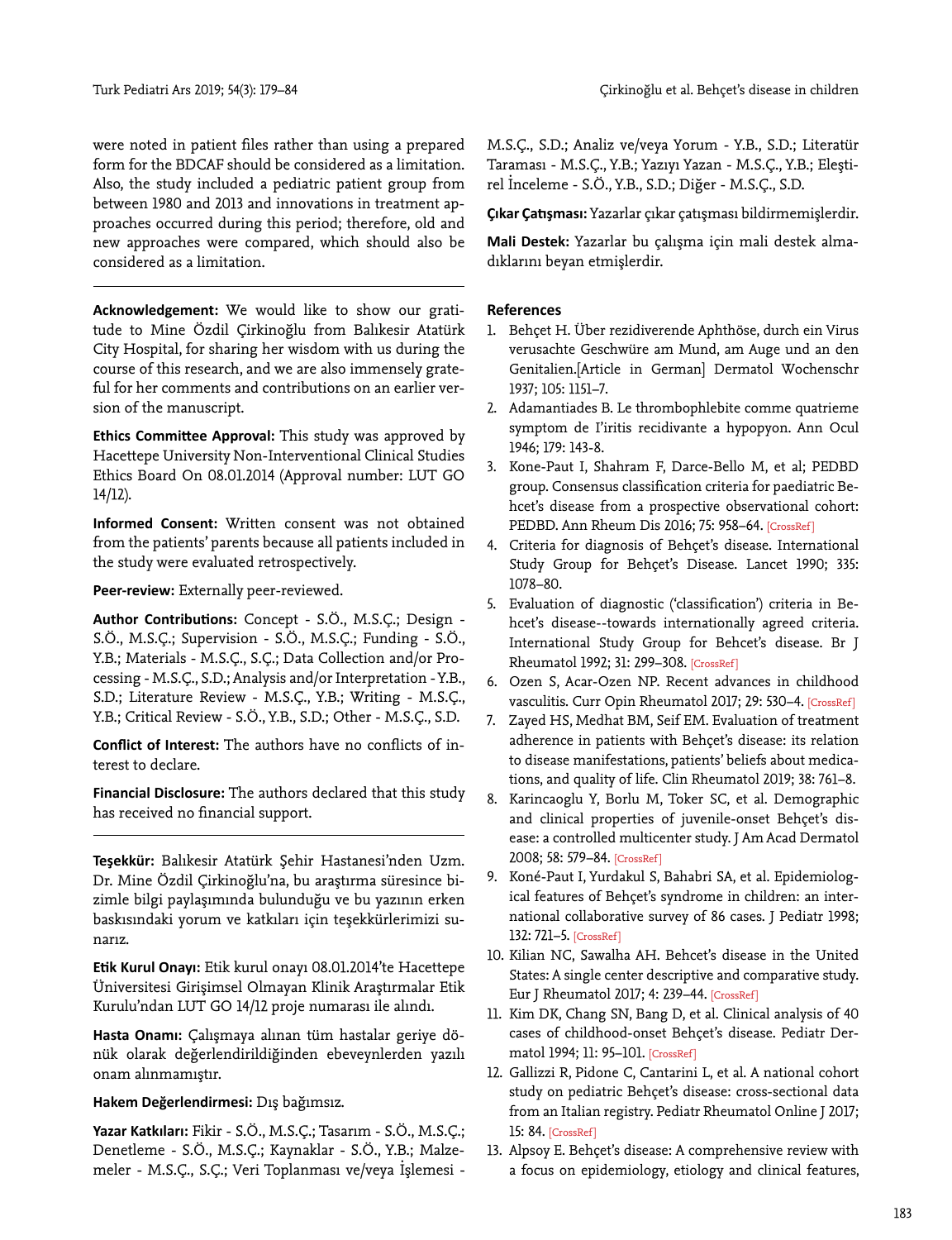were noted in patient files rather than using a prepared form for the BDCAF should be considered as a limitation. Also, the study included a pediatric patient group from between 1980 and 2013 and innovations in treatment approaches occurred during this period; therefore, old and new approaches were compared, which should also be considered as a limitation.

**Acknowledgement:** We would like to show our gratitude to Mine Özdil Çirkinoğlu from Balıkesir Atatürk City Hospital, for sharing her wisdom with us during the course of this research, and we are also immensely grateful for her comments and contributions on an earlier version of the manuscript.

**Ethics Committee Approval:** This study was approved by Hacettepe University Non-Interventional Clinical Studies Ethics Board On 08.01.2014 (Approval number: LUT GO 14/12).

**Informed Consent:** Written consent was not obtained from the patients' parents because all patients included in the study were evaluated retrospectively.

**Peer-review:** Externally peer-reviewed.

**Author Contributions:** Concept - S.Ö., M.S.Ç.; Design - S.Ö., M.S.Ç.; Supervision - S.Ö., M.S.Ç.; Funding - S.Ö., Y.B.; Materials - M.S.Ç., S.Ç.; Data Collection and/or Processing - M.S.Ç., S.D.; Analysis and/or Interpretation - Y.B., S.D.; Literature Review - M.S.Ç., Y.B.; Writing - M.S.Ç., Y.B.; Critical Review - S.Ö., Y.B., S.D.; Other - M.S.Ç., S.D.

**Conflict of Interest:** The authors have no conflicts of interest to declare.

**Financial Disclosure:** The authors declared that this study has received no financial support.

**Teşekkür:** Balıkesir Atatürk Şehir Hastanesi'nden Uzm. Dr. Mine Özdil Çirkinoğlu'na, bu araştırma süresince bizimle bilgi paylaşımında bulunduğu ve bu yazının erken baskısındaki yorum ve katkıları için teşekkürlerimizi sunarız.

**Etik Kurul Onayı:** Etik kurul onayı 08.01.2014'te Hacettepe Üniversitesi Girişimsel Olmayan Klinik Araştırmalar Etik Kurulu'ndan LUT GO 14/12 proje numarası ile alındı.

**Hasta Onamı:** Çalışmaya alınan tüm hastalar geriye dönük olarak değerlendirildiğinden ebeveynlerden yazılı onam alınmamıştır.

# **Hakem Değerlendirmesi:** Dış bağımsız.

**Yazar Katkıları:** Fikir - S.Ö., M.S.Ç.; Tasarım - S.Ö., M.S.Ç.; Denetleme - S.Ö., M.S.Ç.; Kaynaklar - S.Ö., Y.B.; Malzemeler - M.S.Ç., S.Ç.; Veri Toplanması ve/veya İşlemesi -

M.S.Ç., S.D.; Analiz ve/veya Yorum - Y.B., S.D.; Literatür Taraması - M.S.Ç., Y.B.; Yazıyı Yazan - M.S.Ç., Y.B.; Eleştirel İnceleme - S.Ö., Y.B., S.D.; Diğer - M.S.Ç., S.D.

**Çıkar Çatışması:** Yazarlar çıkar çatışması bildirmemişlerdir.

**Mali Destek:** Yazarlar bu çalışma için mali destek almadıklarını beyan etmişlerdir.

# **References**

- 1. Behçet H. Über rezidiverende Aphthöse, durch ein Virus verusachte Geschwüre am Mund, am Auge und an den Genitalien.[Article in German] Dermatol Wochenschr 1937; 105: 1151−7.
- 2. Adamantiades B. Le thrombophlebite comme quatrieme symptom de I'iritis recidivante a hypopyon. Ann Ocul 1946; 179: 143-8.
- 3. Kone-Paut I, Shahram F, Darce-Bello M, et al; PEDBD group. Consensus classification criteria for paediatric Behcet's disease from a prospective observational cohort: PEDBD. Ann Rheum Dis 2016; 75: 958-64. [CrossRef]
- 4. Criteria for diagnosis of Behçet's disease. International Study Group for Behçet's Disease. Lancet 1990; 335: 1078−80.
- 5. Evaluation of diagnostic ('classification') criteria in Behcet's disease--towards internationally agreed criteria. International Study Group for Behcet's disease. Br J Rheumatol 1992; 31: 299−30[8. \[CrossRef \]](https://doi.org/10.1093/rheumatology/31.5.299)
- 6. Ozen S, Acar-Ozen NP. Recent advances in childhood vasculitis. Curr Opin Rheumatol 2017; 29: 530−4[. \[CrossRef \]](https://doi.org/10.1097/BOR.0000000000000424)
- 7. Zayed HS, Medhat BM, Seif EM. Evaluation of treatment adherence in patients with Behçet's disease: its relation to disease manifestations, patients' beliefs about medications, and quality of lif[e. Clin Rheumatol 2019; 38: 761−8.](https://doi.org/10.1007/s10067-018-4344-3)
- 8. Karincaoglu Y, Borlu M, Toker SC, et al. Demographic and clinical properties of juvenile-onset Behçet's disease: a controlled multicenter study. J Am Acad Dermatol 2008; 58: 579[−84. \[CrossRef \]](https://doi.org/10.1016/j.jaad.2007.10.452)
- 9. Koné-Paut I, Yurdakul S, Bahabri SA, et al. Epidemiological features of Behçet's syndrome in children: an international collaborative survey of 86 cases. J Pediatr 1998; 132: 721−[5. \[CrossRef \]](https://doi.org/10.1016/S0022-3476(98)70368-3)
- 10. Kilian NC, Sawalha AH. Behcet's disease in the United States: A single center descriptive and comparative study. Eur J Rheumatol 2017; 4: 239−[44. \[CrossRef \]](https://doi.org/10.5152/eurjrheum.2017.17112)
- 11. Kim DK, Chang SN, Bang D, et al. Clinical analysis of 40 cases of childhood-onset Behçet's disease. Pediatr Dermatol 1994; 11: 95−[101. \[CrossRef \]](https://doi.org/10.1111/j.1525-1470.1994.tb00559.x)
- 12. Gallizzi R, Pidone C, Cantarini L, et al. A national cohort study on pediatric Behçet's disease: cross-sectional data from an Italian registry. Pediatr Rheumatol Online J 2017; 15: 84. [CrossRef]
- 13. Alpsoy E. Behçet's disease: A comprehensive review with a focus on epidemiology, etiology and clinical features,